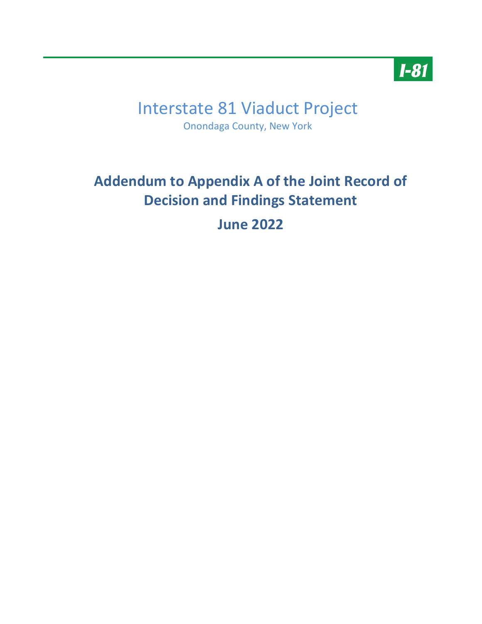

# Interstate 81 Viaduct Project Onondaga County, New York

# **Addendum to Appendix A of the Joint Record of Decision and Findings Statement June 2022**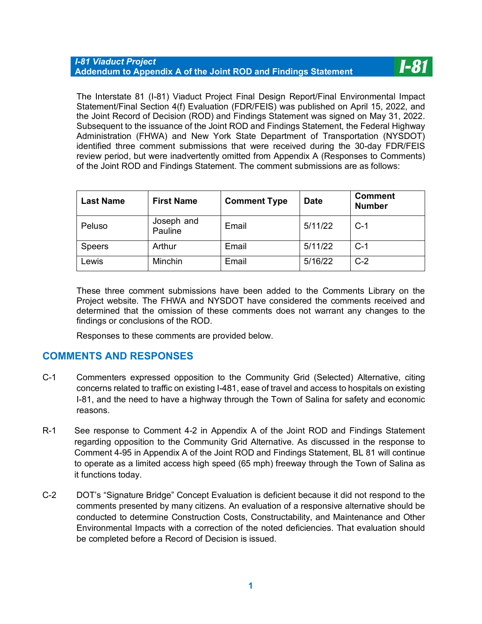The Interstate 81 (I-81) Viaduct Project Final Design Report/Final Environmental Impact Statement/Final Section 4(f) Evaluation (FDR/FEIS) was published on April 15, 2022, and the Joint Record of Decision (ROD) and Findings Statement was signed on May 31, 2022. Subsequent to the issuance of the Joint ROD and Findings Statement, the Federal Highway Administration (FHWA) and New York State Department of Transportation (NYSDOT) identified three comment submissions that were received during the 30-day FDR/FEIS review period, but were inadvertently omitted from Appendix A (Responses to Comments) of the Joint ROD and Findings Statement. The comment submissions are as follows:

**I-81** 

| <b>Last Name</b> | <b>First Name</b>     | <b>Comment Type</b> | <b>Date</b> | <b>Comment</b><br><b>Number</b> |
|------------------|-----------------------|---------------------|-------------|---------------------------------|
| Peluso           | Joseph and<br>Pauline | Email               | 5/11/22     | $C-1$                           |
| <b>Speers</b>    | Arthur                | Email               | 5/11/22     | $C-1$                           |
| Lewis            | <b>Minchin</b>        | Email               | 5/16/22     | $C-2$                           |

These three comment submissions have been added to the Comments Library on the Project website. The FHWA and NYSDOT have considered the comments received and determined that the omission of these comments does not warrant any changes to the findings or conclusions of the ROD.

Responses to these comments are provided below.

# **COMMENTS AND RESPONSES**

- C-1 Commenters expressed opposition to the Community Grid (Selected) Alternative, citing concerns related to traffic on existing I-481, ease of travel and access to hospitals on existing I-81, and the need to have a highway through the Town of Salina for safety and economic reasons.
- R-1 See response to Comment 4-2 in Appendix A of the Joint ROD and Findings Statement regarding opposition to the Community Grid Alternative. As discussed in the response to Comment 4-95 in Appendix A of the Joint ROD and Findings Statement, BL 81 will continue to operate as a limited access high speed (65 mph) freeway through the Town of Salina as it functions today.
- C-2 DOT's "Signature Bridge" Concept Evaluation is deficient because it did not respond to the comments presented by many citizens. An evaluation of a responsive alternative should be conducted to determine Construction Costs, Constructability, and Maintenance and Other Environmental Impacts with a correction of the noted deficiencies. That evaluation should be completed before a Record of Decision is issued.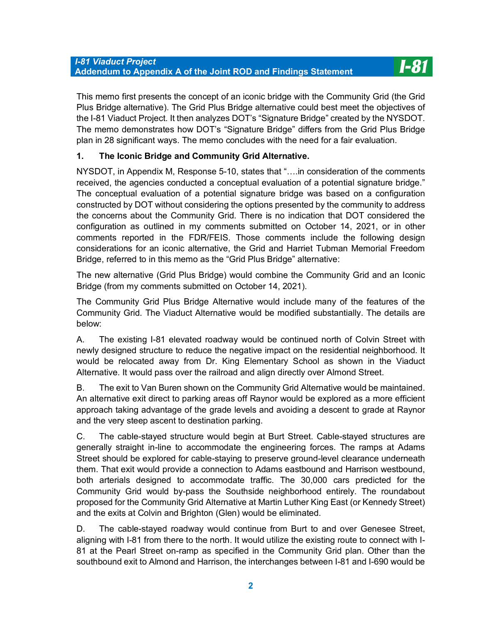This memo first presents the concept of an iconic bridge with the Community Grid (the Grid Plus Bridge alternative). The Grid Plus Bridge alternative could best meet the objectives of the I-81 Viaduct Project. It then analyzes DOT's "Signature Bridge" created by the NYSDOT. The memo demonstrates how DOT's "Signature Bridge" differs from the Grid Plus Bridge plan in 28 significant ways. The memo concludes with the need for a fair evaluation.

## **1. The Iconic Bridge and Community Grid Alternative.**

NYSDOT, in Appendix M, Response 5-10, states that "….in consideration of the comments received, the agencies conducted a conceptual evaluation of a potential signature bridge." The conceptual evaluation of a potential signature bridge was based on a configuration constructed by DOT without considering the options presented by the community to address the concerns about the Community Grid. There is no indication that DOT considered the configuration as outlined in my comments submitted on October 14, 2021, or in other comments reported in the FDR/FEIS. Those comments include the following design considerations for an iconic alternative, the Grid and Harriet Tubman Memorial Freedom Bridge, referred to in this memo as the "Grid Plus Bridge" alternative:

The new alternative (Grid Plus Bridge) would combine the Community Grid and an Iconic Bridge (from my comments submitted on October 14, 2021).

The Community Grid Plus Bridge Alternative would include many of the features of the Community Grid. The Viaduct Alternative would be modified substantially. The details are below:

A. The existing I-81 elevated roadway would be continued north of Colvin Street with newly designed structure to reduce the negative impact on the residential neighborhood. It would be relocated away from Dr. King Elementary School as shown in the Viaduct Alternative. It would pass over the railroad and align directly over Almond Street.

B. The exit to Van Buren shown on the Community Grid Alternative would be maintained. An alternative exit direct to parking areas off Raynor would be explored as a more efficient approach taking advantage of the grade levels and avoiding a descent to grade at Raynor and the very steep ascent to destination parking.

C. The cable-stayed structure would begin at Burt Street. Cable-stayed structures are generally straight in-line to accommodate the engineering forces. The ramps at Adams Street should be explored for cable-staying to preserve ground-level clearance underneath them. That exit would provide a connection to Adams eastbound and Harrison westbound, both arterials designed to accommodate traffic. The 30,000 cars predicted for the Community Grid would by-pass the Southside neighborhood entirely. The roundabout proposed for the Community Grid Alternative at Martin Luther King East (or Kennedy Street) and the exits at Colvin and Brighton (Glen) would be eliminated.

D. The cable-stayed roadway would continue from Burt to and over Genesee Street, aligning with I-81 from there to the north. It would utilize the existing route to connect with I-81 at the Pearl Street on-ramp as specified in the Community Grid plan. Other than the southbound exit to Almond and Harrison, the interchanges between I-81 and I-690 would be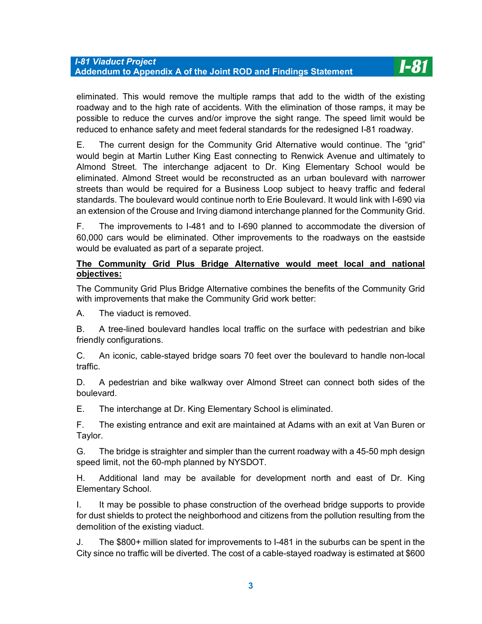eliminated. This would remove the multiple ramps that add to the width of the existing roadway and to the high rate of accidents. With the elimination of those ramps, it may be possible to reduce the curves and/or improve the sight range. The speed limit would be reduced to enhance safety and meet federal standards for the redesigned I-81 roadway.

E. The current design for the Community Grid Alternative would continue. The "grid" would begin at Martin Luther King East connecting to Renwick Avenue and ultimately to Almond Street. The interchange adjacent to Dr. King Elementary School would be eliminated. Almond Street would be reconstructed as an urban boulevard with narrower streets than would be required for a Business Loop subject to heavy traffic and federal standards. The boulevard would continue north to Erie Boulevard. It would link with I-690 via an extension of the Crouse and Irving diamond interchange planned for the Community Grid.

F. The improvements to I-481 and to I-690 planned to accommodate the diversion of 60,000 cars would be eliminated. Other improvements to the roadways on the eastside would be evaluated as part of a separate project.

#### **The Community Grid Plus Bridge Alternative would meet local and national objectives:**

The Community Grid Plus Bridge Alternative combines the benefits of the Community Grid with improvements that make the Community Grid work better:

A. The viaduct is removed.

B. A tree-lined boulevard handles local traffic on the surface with pedestrian and bike friendly configurations.

C. An iconic, cable-stayed bridge soars 70 feet over the boulevard to handle non-local traffic.

D. A pedestrian and bike walkway over Almond Street can connect both sides of the boulevard.

E. The interchange at Dr. King Elementary School is eliminated.

F. The existing entrance and exit are maintained at Adams with an exit at Van Buren or Taylor.

G. The bridge is straighter and simpler than the current roadway with a 45-50 mph design speed limit, not the 60-mph planned by NYSDOT.

H. Additional land may be available for development north and east of Dr. King Elementary School.

I. It may be possible to phase construction of the overhead bridge supports to provide for dust shields to protect the neighborhood and citizens from the pollution resulting from the demolition of the existing viaduct.

J. The \$800+ million slated for improvements to I-481 in the suburbs can be spent in the City since no traffic will be diverted. The cost of a cable-stayed roadway is estimated at \$600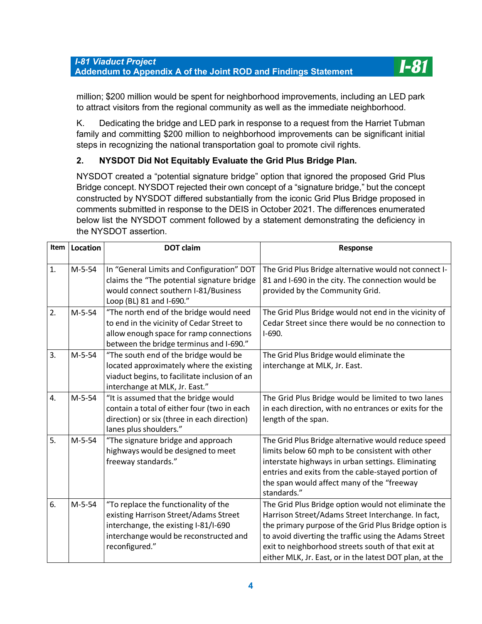

million; \$200 million would be spent for neighborhood improvements, including an LED park to attract visitors from the regional community as well as the immediate neighborhood.

K. Dedicating the bridge and LED park in response to a request from the Harriet Tubman family and committing \$200 million to neighborhood improvements can be significant initial steps in recognizing the national transportation goal to promote civil rights.

# **2. NYSDOT Did Not Equitably Evaluate the Grid Plus Bridge Plan.**

NYSDOT created a "potential signature bridge" option that ignored the proposed Grid Plus Bridge concept. NYSDOT rejected their own concept of a "signature bridge," but the concept constructed by NYSDOT differed substantially from the iconic Grid Plus Bridge proposed in comments submitted in response to the DEIS in October 2021. The differences enumerated below list the NYSDOT comment followed by a statement demonstrating the deficiency in the NYSDOT assertion.

| Item | Location | <b>DOT</b> claim                                                                                                                                                                  | Response                                                                                                                                                                                                                                                                                                                                     |
|------|----------|-----------------------------------------------------------------------------------------------------------------------------------------------------------------------------------|----------------------------------------------------------------------------------------------------------------------------------------------------------------------------------------------------------------------------------------------------------------------------------------------------------------------------------------------|
|      |          |                                                                                                                                                                                   |                                                                                                                                                                                                                                                                                                                                              |
| 1.   | $M-5-54$ | In "General Limits and Configuration" DOT<br>claims the "The potential signature bridge<br>would connect southern I-81/Business<br>Loop (BL) 81 and I-690."                       | The Grid Plus Bridge alternative would not connect I-<br>81 and I-690 in the city. The connection would be<br>provided by the Community Grid.                                                                                                                                                                                                |
| 2.   | $M-5-54$ | "The north end of the bridge would need<br>to end in the vicinity of Cedar Street to<br>allow enough space for ramp connections<br>between the bridge terminus and I-690."        | The Grid Plus Bridge would not end in the vicinity of<br>Cedar Street since there would be no connection to<br>$I-690.$                                                                                                                                                                                                                      |
| 3.   | $M-5-54$ | "The south end of the bridge would be<br>located approximately where the existing<br>viaduct begins, to facilitate inclusion of an<br>interchange at MLK, Jr. East."              | The Grid Plus Bridge would eliminate the<br>interchange at MLK, Jr. East.                                                                                                                                                                                                                                                                    |
| 4.   | $M-5-54$ | "It is assumed that the bridge would<br>contain a total of either four (two in each<br>direction) or six (three in each direction)<br>lanes plus shoulders."                      | The Grid Plus Bridge would be limited to two lanes<br>in each direction, with no entrances or exits for the<br>length of the span.                                                                                                                                                                                                           |
| 5.   | $M-5-54$ | "The signature bridge and approach<br>highways would be designed to meet<br>freeway standards."                                                                                   | The Grid Plus Bridge alternative would reduce speed<br>limits below 60 mph to be consistent with other<br>interstate highways in urban settings. Eliminating<br>entries and exits from the cable-stayed portion of<br>the span would affect many of the "freeway<br>standards."                                                              |
| 6.   | $M-5-54$ | "To replace the functionality of the<br>existing Harrison Street/Adams Street<br>interchange, the existing I-81/I-690<br>interchange would be reconstructed and<br>reconfigured." | The Grid Plus Bridge option would not eliminate the<br>Harrison Street/Adams Street Interchange. In fact,<br>the primary purpose of the Grid Plus Bridge option is<br>to avoid diverting the traffic using the Adams Street<br>exit to neighborhood streets south of that exit at<br>either MLK, Jr. East, or in the latest DOT plan, at the |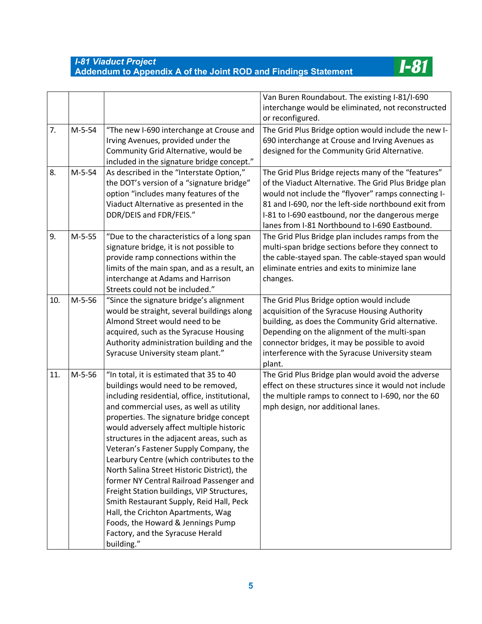

|     |          |                                                                                                                                                                                                                                                                                                                                                                                                                                                                                                                                                                                                                                                                                                                           | Van Buren Roundabout. The existing I-81/I-690<br>interchange would be eliminated, not reconstructed<br>or reconfigured.                                                                                                                                                                                                           |
|-----|----------|---------------------------------------------------------------------------------------------------------------------------------------------------------------------------------------------------------------------------------------------------------------------------------------------------------------------------------------------------------------------------------------------------------------------------------------------------------------------------------------------------------------------------------------------------------------------------------------------------------------------------------------------------------------------------------------------------------------------------|-----------------------------------------------------------------------------------------------------------------------------------------------------------------------------------------------------------------------------------------------------------------------------------------------------------------------------------|
| 7.  | $M-5-54$ | "The new I-690 interchange at Crouse and<br>Irving Avenues, provided under the<br>Community Grid Alternative, would be<br>included in the signature bridge concept."                                                                                                                                                                                                                                                                                                                                                                                                                                                                                                                                                      | The Grid Plus Bridge option would include the new I-<br>690 interchange at Crouse and Irving Avenues as<br>designed for the Community Grid Alternative.                                                                                                                                                                           |
| 8.  | $M-5-54$ | As described in the "Interstate Option,"<br>the DOT's version of a "signature bridge"<br>option "includes many features of the<br>Viaduct Alternative as presented in the<br>DDR/DEIS and FDR/FEIS."                                                                                                                                                                                                                                                                                                                                                                                                                                                                                                                      | The Grid Plus Bridge rejects many of the "features"<br>of the Viaduct Alternative. The Grid Plus Bridge plan<br>would not include the "flyover" ramps connecting I-<br>81 and I-690, nor the left-side northbound exit from<br>I-81 to I-690 eastbound, nor the dangerous merge<br>lanes from I-81 Northbound to I-690 Eastbound. |
| 9.  | $M-5-55$ | "Due to the characteristics of a long span<br>signature bridge, it is not possible to<br>provide ramp connections within the<br>limits of the main span, and as a result, an<br>interchange at Adams and Harrison<br>Streets could not be included."                                                                                                                                                                                                                                                                                                                                                                                                                                                                      | The Grid Plus Bridge plan includes ramps from the<br>multi-span bridge sections before they connect to<br>the cable-stayed span. The cable-stayed span would<br>eliminate entries and exits to minimize lane<br>changes.                                                                                                          |
| 10. | $M-5-56$ | "Since the signature bridge's alignment<br>would be straight, several buildings along<br>Almond Street would need to be<br>acquired, such as the Syracuse Housing<br>Authority administration building and the<br>Syracuse University steam plant."                                                                                                                                                                                                                                                                                                                                                                                                                                                                       | The Grid Plus Bridge option would include<br>acquisition of the Syracuse Housing Authority<br>building, as does the Community Grid alternative.<br>Depending on the alignment of the multi-span<br>connector bridges, it may be possible to avoid<br>interference with the Syracuse University steam<br>plant.                    |
| 11. | $M-5-56$ | "In total, it is estimated that 35 to 40<br>buildings would need to be removed,<br>including residential, office, institutional,<br>and commercial uses, as well as utility<br>properties. The signature bridge concept<br>would adversely affect multiple historic<br>structures in the adjacent areas, such as<br>Veteran's Fastener Supply Company, the<br>Learbury Centre (which contributes to the<br>North Salina Street Historic District), the<br>former NY Central Railroad Passenger and<br>Freight Station buildings, VIP Structures,<br>Smith Restaurant Supply, Reid Hall, Peck<br>Hall, the Crichton Apartments, Wag<br>Foods, the Howard & Jennings Pump<br>Factory, and the Syracuse Herald<br>building." | The Grid Plus Bridge plan would avoid the adverse<br>effect on these structures since it would not include<br>the multiple ramps to connect to I-690, nor the 60<br>mph design, nor additional lanes.                                                                                                                             |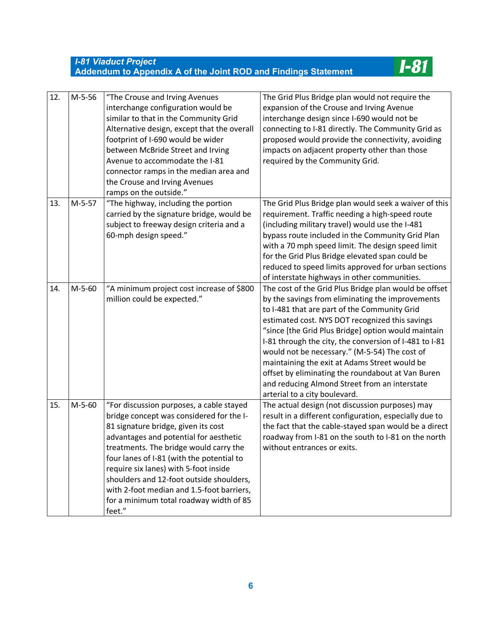

| 12. | $M-5-56$ | "The Crouse and Irving Avenues<br>interchange configuration would be<br>similar to that in the Community Grid<br>Alternative design, except that the overall<br>footprint of I-690 would be wider<br>between McBride Street and Irving<br>Avenue to accommodate the I-81<br>connector ramps in the median area and<br>the Crouse and Irving Avenues<br>ramps on the outside."                                                                       | The Grid Plus Bridge plan would not require the<br>expansion of the Crouse and Irving Avenue<br>interchange design since I-690 would not be<br>connecting to I-81 directly. The Community Grid as<br>proposed would provide the connectivity, avoiding<br>impacts on adjacent property other than those<br>required by the Community Grid.                                                                                                                                                                                                                             |
|-----|----------|-----------------------------------------------------------------------------------------------------------------------------------------------------------------------------------------------------------------------------------------------------------------------------------------------------------------------------------------------------------------------------------------------------------------------------------------------------|------------------------------------------------------------------------------------------------------------------------------------------------------------------------------------------------------------------------------------------------------------------------------------------------------------------------------------------------------------------------------------------------------------------------------------------------------------------------------------------------------------------------------------------------------------------------|
| 13. | $M-5-57$ | "The highway, including the portion<br>carried by the signature bridge, would be<br>subject to freeway design criteria and a<br>60-mph design speed."                                                                                                                                                                                                                                                                                               | The Grid Plus Bridge plan would seek a waiver of this<br>requirement. Traffic needing a high-speed route<br>(including military travel) would use the I-481<br>bypass route included in the Community Grid Plan<br>with a 70 mph speed limit. The design speed limit<br>for the Grid Plus Bridge elevated span could be<br>reduced to speed limits approved for urban sections<br>of interstate highways in other communities.                                                                                                                                         |
| 14. | $M-5-60$ | "A minimum project cost increase of \$800<br>million could be expected."                                                                                                                                                                                                                                                                                                                                                                            | The cost of the Grid Plus Bridge plan would be offset<br>by the savings from eliminating the improvements<br>to I-481 that are part of the Community Grid<br>estimated cost. NYS DOT recognized this savings<br>"since [the Grid Plus Bridge] option would maintain<br>I-81 through the city, the conversion of I-481 to I-81<br>would not be necessary." (M-5-54) The cost of<br>maintaining the exit at Adams Street would be<br>offset by eliminating the roundabout at Van Buren<br>and reducing Almond Street from an interstate<br>arterial to a city boulevard. |
| 15. | $M-5-60$ | "For discussion purposes, a cable stayed<br>bridge concept was considered for the I-<br>81 signature bridge, given its cost<br>advantages and potential for aesthetic<br>treatments. The bridge would carry the<br>four lanes of I-81 (with the potential to<br>require six lanes) with 5-foot inside<br>shoulders and 12-foot outside shoulders,<br>with 2-foot median and 1.5-foot barriers,<br>for a minimum total roadway width of 85<br>feet." | The actual design (not discussion purposes) may<br>result in a different configuration, especially due to<br>the fact that the cable-stayed span would be a direct<br>roadway from I-81 on the south to I-81 on the north<br>without entrances or exits.                                                                                                                                                                                                                                                                                                               |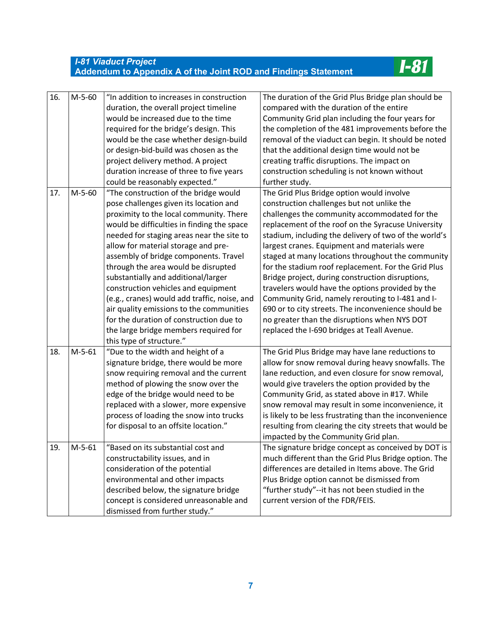**I-81** 

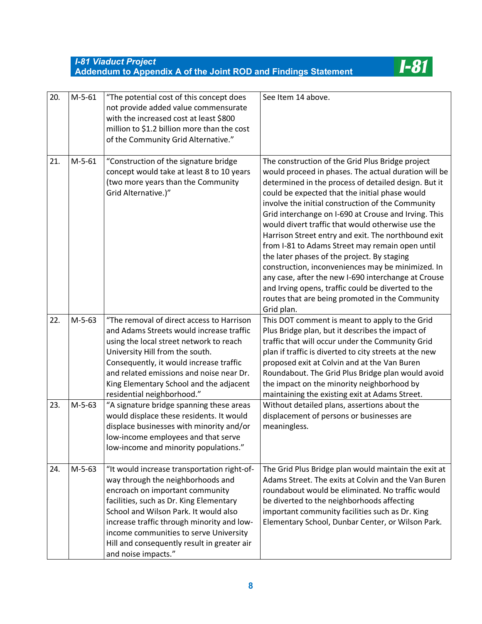$I-81$ 

| 20. | $M-5-61$ | "The potential cost of this concept does<br>not provide added value commensurate<br>with the increased cost at least \$800<br>million to \$1.2 billion more than the cost<br>of the Community Grid Alternative."                                                                                                                                                      | See Item 14 above.                                                                                                                                                                                                                                                                                                                                                                                                                                                                                                                                                                                                                                                                                                                                                               |
|-----|----------|-----------------------------------------------------------------------------------------------------------------------------------------------------------------------------------------------------------------------------------------------------------------------------------------------------------------------------------------------------------------------|----------------------------------------------------------------------------------------------------------------------------------------------------------------------------------------------------------------------------------------------------------------------------------------------------------------------------------------------------------------------------------------------------------------------------------------------------------------------------------------------------------------------------------------------------------------------------------------------------------------------------------------------------------------------------------------------------------------------------------------------------------------------------------|
| 21. | $M-5-61$ | "Construction of the signature bridge<br>concept would take at least 8 to 10 years<br>(two more years than the Community<br>Grid Alternative.)"                                                                                                                                                                                                                       | The construction of the Grid Plus Bridge project<br>would proceed in phases. The actual duration will be<br>determined in the process of detailed design. But it<br>could be expected that the initial phase would<br>involve the initial construction of the Community<br>Grid interchange on I-690 at Crouse and Irving. This<br>would divert traffic that would otherwise use the<br>Harrison Street entry and exit. The northbound exit<br>from I-81 to Adams Street may remain open until<br>the later phases of the project. By staging<br>construction, inconveniences may be minimized. In<br>any case, after the new I-690 interchange at Crouse<br>and Irving opens, traffic could be diverted to the<br>routes that are being promoted in the Community<br>Grid plan. |
| 22. | $M-5-63$ | "The removal of direct access to Harrison<br>and Adams Streets would increase traffic<br>using the local street network to reach<br>University Hill from the south.<br>Consequently, it would increase traffic<br>and related emissions and noise near Dr.<br>King Elementary School and the adjacent<br>residential neighborhood."                                   | This DOT comment is meant to apply to the Grid<br>Plus Bridge plan, but it describes the impact of<br>traffic that will occur under the Community Grid<br>plan if traffic is diverted to city streets at the new<br>proposed exit at Colvin and at the Van Buren<br>Roundabout. The Grid Plus Bridge plan would avoid<br>the impact on the minority neighborhood by<br>maintaining the existing exit at Adams Street.                                                                                                                                                                                                                                                                                                                                                            |
| 23. | $M-5-63$ | "A signature bridge spanning these areas<br>would displace these residents. It would<br>displace businesses with minority and/or<br>low-income employees and that serve<br>low-income and minority populations."                                                                                                                                                      | Without detailed plans, assertions about the<br>displacement of persons or businesses are<br>meaningless.                                                                                                                                                                                                                                                                                                                                                                                                                                                                                                                                                                                                                                                                        |
| 24. | M-5-63   | "It would increase transportation right-of-<br>way through the neighborhoods and<br>encroach on important community<br>facilities, such as Dr. King Elementary<br>School and Wilson Park. It would also<br>increase traffic through minority and low-<br>income communities to serve University<br>Hill and consequently result in greater air<br>and noise impacts." | The Grid Plus Bridge plan would maintain the exit at<br>Adams Street. The exits at Colvin and the Van Buren<br>roundabout would be eliminated. No traffic would<br>be diverted to the neighborhoods affecting<br>important community facilities such as Dr. King<br>Elementary School, Dunbar Center, or Wilson Park.                                                                                                                                                                                                                                                                                                                                                                                                                                                            |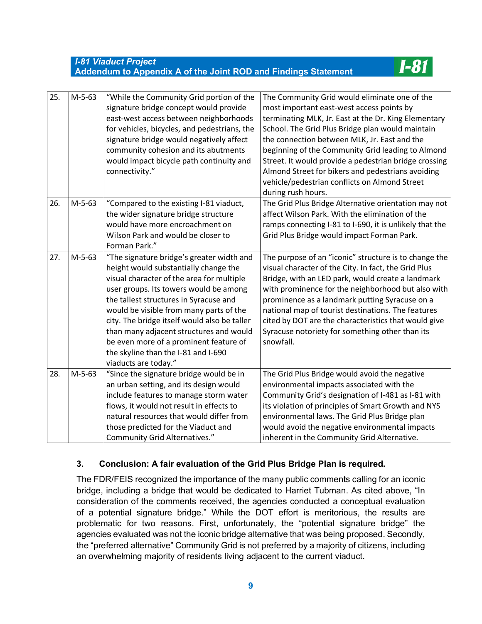**I-8**1

| 25. | $M-5-63$ | "While the Community Grid portion of the<br>signature bridge concept would provide<br>east-west access between neighborhoods<br>for vehicles, bicycles, and pedestrians, the<br>signature bridge would negatively affect<br>community cohesion and its abutments<br>would impact bicycle path continuity and<br>connectivity."                                                                                                                                     | The Community Grid would eliminate one of the<br>most important east-west access points by<br>terminating MLK, Jr. East at the Dr. King Elementary<br>School. The Grid Plus Bridge plan would maintain<br>the connection between MLK, Jr. East and the<br>beginning of the Community Grid leading to Almond<br>Street. It would provide a pedestrian bridge crossing<br>Almond Street for bikers and pedestrians avoiding<br>vehicle/pedestrian conflicts on Almond Street<br>during rush hours. |
|-----|----------|--------------------------------------------------------------------------------------------------------------------------------------------------------------------------------------------------------------------------------------------------------------------------------------------------------------------------------------------------------------------------------------------------------------------------------------------------------------------|--------------------------------------------------------------------------------------------------------------------------------------------------------------------------------------------------------------------------------------------------------------------------------------------------------------------------------------------------------------------------------------------------------------------------------------------------------------------------------------------------|
| 26. | $M-5-63$ | "Compared to the existing I-81 viaduct,<br>the wider signature bridge structure<br>would have more encroachment on<br>Wilson Park and would be closer to<br>Forman Park."                                                                                                                                                                                                                                                                                          | The Grid Plus Bridge Alternative orientation may not<br>affect Wilson Park. With the elimination of the<br>ramps connecting I-81 to I-690, it is unlikely that the<br>Grid Plus Bridge would impact Forman Park.                                                                                                                                                                                                                                                                                 |
| 27. | $M-5-63$ | "The signature bridge's greater width and<br>height would substantially change the<br>visual character of the area for multiple<br>user groups. Its towers would be among<br>the tallest structures in Syracuse and<br>would be visible from many parts of the<br>city. The bridge itself would also be taller<br>than many adjacent structures and would<br>be even more of a prominent feature of<br>the skyline than the I-81 and I-690<br>viaducts are today." | The purpose of an "iconic" structure is to change the<br>visual character of the City. In fact, the Grid Plus<br>Bridge, with an LED park, would create a landmark<br>with prominence for the neighborhood but also with<br>prominence as a landmark putting Syracuse on a<br>national map of tourist destinations. The features<br>cited by DOT are the characteristics that would give<br>Syracuse notoriety for something other than its<br>snowfall.                                         |
| 28. | $M-5-63$ | "Since the signature bridge would be in<br>an urban setting, and its design would<br>include features to manage storm water<br>flows, it would not result in effects to<br>natural resources that would differ from<br>those predicted for the Viaduct and<br><b>Community Grid Alternatives."</b>                                                                                                                                                                 | The Grid Plus Bridge would avoid the negative<br>environmental impacts associated with the<br>Community Grid's designation of I-481 as I-81 with<br>its violation of principles of Smart Growth and NYS<br>environmental laws. The Grid Plus Bridge plan<br>would avoid the negative environmental impacts<br>inherent in the Community Grid Alternative.                                                                                                                                        |

### **3. Conclusion: A fair evaluation of the Grid Plus Bridge Plan is required.**

The FDR/FEIS recognized the importance of the many public comments calling for an iconic bridge, including a bridge that would be dedicated to Harriet Tubman. As cited above, "In consideration of the comments received, the agencies conducted a conceptual evaluation of a potential signature bridge." While the DOT effort is meritorious, the results are problematic for two reasons. First, unfortunately, the "potential signature bridge" the agencies evaluated was not the iconic bridge alternative that was being proposed. Secondly, the "preferred alternative" Community Grid is not preferred by a majority of citizens, including an overwhelming majority of residents living adjacent to the current viaduct.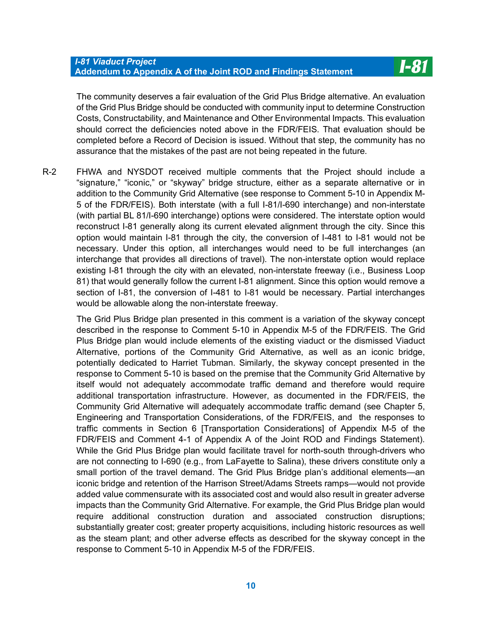The community deserves a fair evaluation of the Grid Plus Bridge alternative. An evaluation of the Grid Plus Bridge should be conducted with community input to determine Construction Costs, Constructability, and Maintenance and Other Environmental Impacts. This evaluation should correct the deficiencies noted above in the FDR/FEIS. That evaluation should be completed before a Record of Decision is issued. Without that step, the community has no assurance that the mistakes of the past are not being repeated in the future.

R-2 FHWA and NYSDOT received multiple comments that the Project should include a "signature," "iconic," or "skyway" bridge structure, either as a separate alternative or in addition to the Community Grid Alternative (see response to Comment 5-10 in Appendix M-5 of the FDR/FEIS). Both interstate (with a full I-81/I-690 interchange) and non-interstate (with partial BL 81/I-690 interchange) options were considered. The interstate option would reconstruct I-81 generally along its current elevated alignment through the city. Since this option would maintain I-81 through the city, the conversion of I-481 to I-81 would not be necessary. Under this option, all interchanges would need to be full interchanges (an interchange that provides all directions of travel). The non-interstate option would replace existing I-81 through the city with an elevated, non-interstate freeway (i.e., Business Loop 81) that would generally follow the current I-81 alignment. Since this option would remove a section of I-81, the conversion of I-481 to I-81 would be necessary. Partial interchanges would be allowable along the non-interstate freeway.

The Grid Plus Bridge plan presented in this comment is a variation of the skyway concept described in the response to Comment 5-10 in Appendix M-5 of the FDR/FEIS. The Grid Plus Bridge plan would include elements of the existing viaduct or the dismissed Viaduct Alternative, portions of the Community Grid Alternative, as well as an iconic bridge, potentially dedicated to Harriet Tubman. Similarly, the skyway concept presented in the response to Comment 5-10 is based on the premise that the Community Grid Alternative by itself would not adequately accommodate traffic demand and therefore would require additional transportation infrastructure. However, as documented in the FDR/FEIS, the Community Grid Alternative will adequately accommodate traffic demand (see Chapter 5, Engineering and Transportation Considerations, of the FDR/FEIS, and the responses to traffic comments in Section 6 [Transportation Considerations] of Appendix M-5 of the FDR/FEIS and Comment 4-1 of Appendix A of the Joint ROD and Findings Statement). While the Grid Plus Bridge plan would facilitate travel for north-south through-drivers who are not connecting to I-690 (e.g., from LaFayette to Salina), these drivers constitute only a small portion of the travel demand. The Grid Plus Bridge plan's additional elements—an iconic bridge and retention of the Harrison Street/Adams Streets ramps—would not provide added value commensurate with its associated cost and would also result in greater adverse impacts than the Community Grid Alternative. For example, the Grid Plus Bridge plan would require additional construction duration and associated construction disruptions; substantially greater cost; greater property acquisitions, including historic resources as well as the steam plant; and other adverse effects as described for the skyway concept in the response to Comment 5-10 in Appendix M-5 of the FDR/FEIS.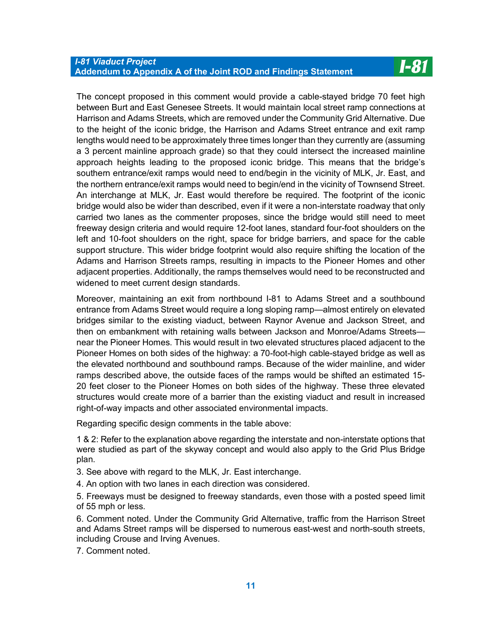The concept proposed in this comment would provide a cable-stayed bridge 70 feet high between Burt and East Genesee Streets. It would maintain local street ramp connections at Harrison and Adams Streets, which are removed under the Community Grid Alternative. Due to the height of the iconic bridge, the Harrison and Adams Street entrance and exit ramp lengths would need to be approximately three times longer than they currently are (assuming a 3 percent mainline approach grade) so that they could intersect the increased mainline approach heights leading to the proposed iconic bridge. This means that the bridge's southern entrance/exit ramps would need to end/begin in the vicinity of MLK, Jr. East, and the northern entrance/exit ramps would need to begin/end in the vicinity of Townsend Street. An interchange at MLK, Jr. East would therefore be required. The footprint of the iconic bridge would also be wider than described, even if it were a non-interstate roadway that only carried two lanes as the commenter proposes, since the bridge would still need to meet freeway design criteria and would require 12-foot lanes, standard four-foot shoulders on the left and 10-foot shoulders on the right, space for bridge barriers, and space for the cable support structure. This wider bridge footprint would also require shifting the location of the Adams and Harrison Streets ramps, resulting in impacts to the Pioneer Homes and other adjacent properties. Additionally, the ramps themselves would need to be reconstructed and widened to meet current design standards.

Moreover, maintaining an exit from northbound I-81 to Adams Street and a southbound entrance from Adams Street would require a long sloping ramp—almost entirely on elevated bridges similar to the existing viaduct, between Raynor Avenue and Jackson Street, and then on embankment with retaining walls between Jackson and Monroe/Adams Streets near the Pioneer Homes. This would result in two elevated structures placed adjacent to the Pioneer Homes on both sides of the highway: a 70-foot-high cable-stayed bridge as well as the elevated northbound and southbound ramps. Because of the wider mainline, and wider ramps described above, the outside faces of the ramps would be shifted an estimated 15- 20 feet closer to the Pioneer Homes on both sides of the highway. These three elevated structures would create more of a barrier than the existing viaduct and result in increased right-of-way impacts and other associated environmental impacts.

Regarding specific design comments in the table above:

1 & 2: Refer to the explanation above regarding the interstate and non-interstate options that were studied as part of the skyway concept and would also apply to the Grid Plus Bridge plan.

- 3. See above with regard to the MLK, Jr. East interchange.
- 4. An option with two lanes in each direction was considered.

5. Freeways must be designed to freeway standards, even those with a posted speed limit of 55 mph or less.

6. Comment noted. Under the Community Grid Alternative, traffic from the Harrison Street and Adams Street ramps will be dispersed to numerous east-west and north-south streets, including Crouse and Irving Avenues.

7. Comment noted.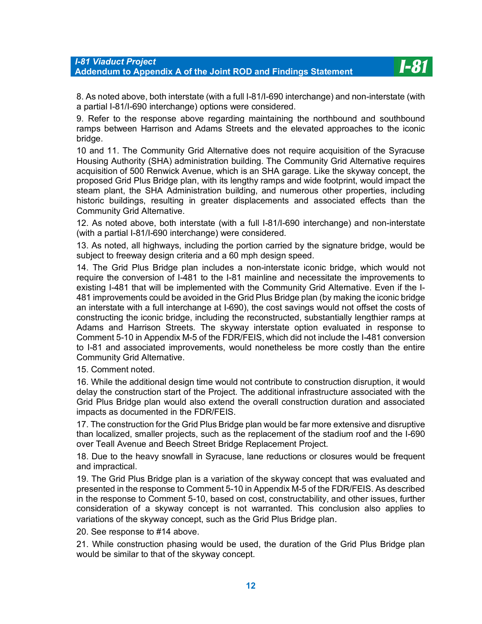8. As noted above, both interstate (with a full I-81/I-690 interchange) and non-interstate (with a partial I-81/I-690 interchange) options were considered.

**I-81** 

9. Refer to the response above regarding maintaining the northbound and southbound ramps between Harrison and Adams Streets and the elevated approaches to the iconic bridge.

10 and 11. The Community Grid Alternative does not require acquisition of the Syracuse Housing Authority (SHA) administration building. The Community Grid Alternative requires acquisition of 500 Renwick Avenue, which is an SHA garage. Like the skyway concept, the proposed Grid Plus Bridge plan, with its lengthy ramps and wide footprint, would impact the steam plant, the SHA Administration building, and numerous other properties, including historic buildings, resulting in greater displacements and associated effects than the Community Grid Alternative.

12. As noted above, both interstate (with a full I-81/I-690 interchange) and non-interstate (with a partial I-81/I-690 interchange) were considered.

13. As noted, all highways, including the portion carried by the signature bridge, would be subject to freeway design criteria and a 60 mph design speed.

14. The Grid Plus Bridge plan includes a non-interstate iconic bridge, which would not require the conversion of I-481 to the I-81 mainline and necessitate the improvements to existing I-481 that will be implemented with the Community Grid Alternative. Even if the I-481 improvements could be avoided in the Grid Plus Bridge plan (by making the iconic bridge an interstate with a full interchange at I-690), the cost savings would not offset the costs of constructing the iconic bridge, including the reconstructed, substantially lengthier ramps at Adams and Harrison Streets. The skyway interstate option evaluated in response to Comment 5-10 in Appendix M-5 of the FDR/FEIS, which did not include the I-481 conversion to I-81 and associated improvements, would nonetheless be more costly than the entire Community Grid Alternative.

15. Comment noted.

16. While the additional design time would not contribute to construction disruption, it would delay the construction start of the Project. The additional infrastructure associated with the Grid Plus Bridge plan would also extend the overall construction duration and associated impacts as documented in the FDR/FEIS.

17. The construction for the Grid Plus Bridge plan would be far more extensive and disruptive than localized, smaller projects, such as the replacement of the stadium roof and the I-690 over Teall Avenue and Beech Street Bridge Replacement Project.

18. Due to the heavy snowfall in Syracuse, lane reductions or closures would be frequent and impractical.

19. The Grid Plus Bridge plan is a variation of the skyway concept that was evaluated and presented in the response to Comment 5-10 in Appendix M-5 of the FDR/FEIS. As described in the response to Comment 5-10, based on cost, constructability, and other issues, further consideration of a skyway concept is not warranted. This conclusion also applies to variations of the skyway concept, such as the Grid Plus Bridge plan.

20. See response to #14 above.

21. While construction phasing would be used, the duration of the Grid Plus Bridge plan would be similar to that of the skyway concept.